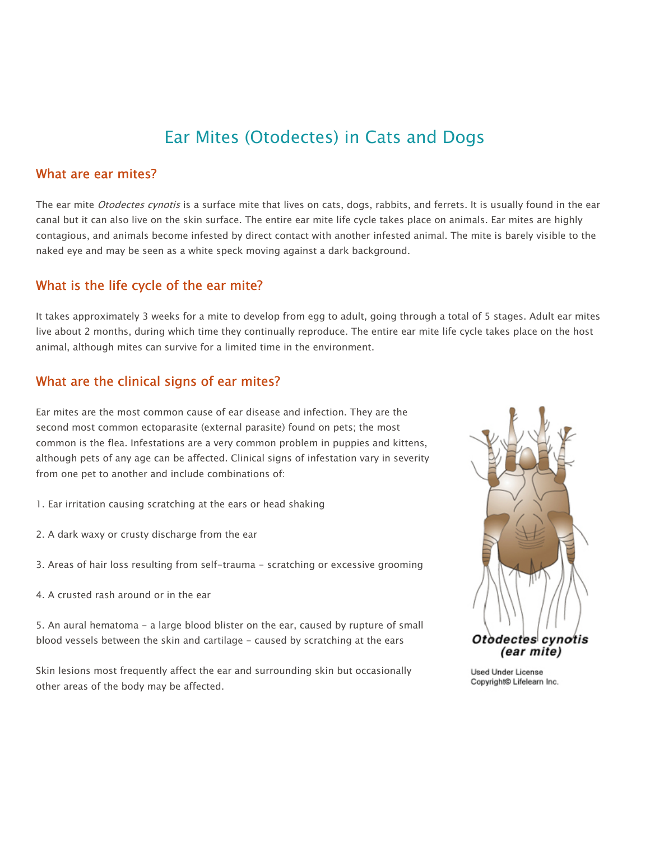# Ear Mites (Otodectes) in Cats and Dogs

#### What are ear mites?

The ear mite Otodectes cynotis is a surface mite that lives on cats, dogs, rabbits, and ferrets. It is usually found in the ear canal but it can also live on the skin surface. The entire ear mite life cycle takes place on animals. Ear mites are highly contagious, and animals become infested by direct contact with another infested animal. The mite is barely visible to the naked eye and may be seen as a white speck moving against a dark background.

#### What is the life cycle of the ear mite?

It takes approximately 3 weeks for a mite to develop from egg to adult, going through a total of 5 stages. Adult ear mites live about 2 months, during which time they continually reproduce. The entire ear mite life cycle takes place on the host animal, although mites can survive for a limited time in the environment.

# What are the clinical signs of ear mites?

Ear mites are the most common cause of ear disease and infection. They are the second most common ectoparasite (external parasite) found on pets; the most common is the flea. Infestations are a very common problem in puppies and kittens, although pets of any age can be affected. Clinical signs of infestation vary in severity from one pet to another and include combinations of:

- 1. Ear irritation causing scratching at the ears or head shaking
- 2. A dark waxy or crusty discharge from the ear
- 3. Areas of hair loss resulting from self-trauma scratching or excessive grooming
- 4. A crusted rash around or in the ear

5. An aural hematoma - a large blood blister on the ear, caused by rupture of small blood vessels between the skin and cartilage - caused by scratching at the ears

Skin lesions most frequently affect the ear and surrounding skin but occasionally other areas of the body may be affected.



Used Under License Copyright<sup>®</sup> Lifelearn Inc.